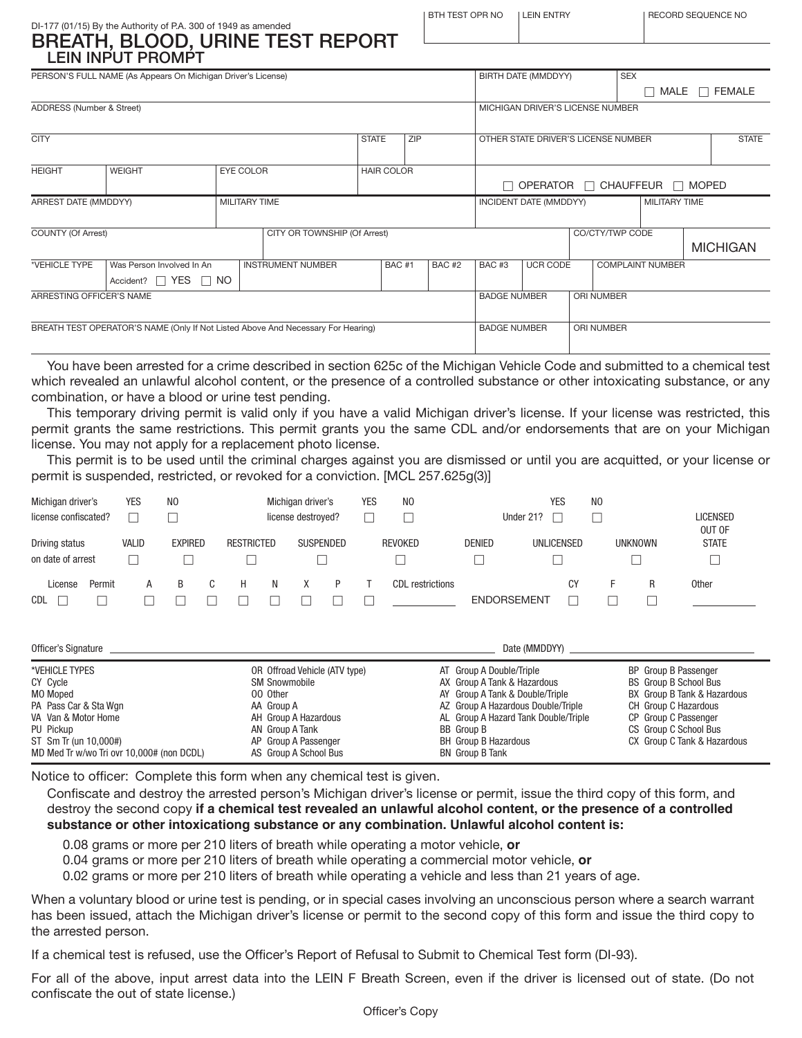ENTRY **IRECORD SEQUENCE NO** 

### DI-177 (01/15) By the Authority of P.A. 300 of 1949 as amended BREATH, BLOOD, URINE TEST REPORT LEIN INPUT PROMPT

|                           | PERSON'S FULL NAME (As Appears On Michigan Driver's License)                     |                      |                                   |              | BIRTH DATE (MMDDYY)<br><b>SEX</b> |              |                                     |                        |  |                                        |                         |  |                 |  |
|---------------------------|----------------------------------------------------------------------------------|----------------------|-----------------------------------|--------------|-----------------------------------|--------------|-------------------------------------|------------------------|--|----------------------------------------|-------------------------|--|-----------------|--|
|                           |                                                                                  |                      |                                   |              |                                   |              |                                     |                        |  |                                        | MALE                    |  | $\Box$ FEMALE   |  |
|                           |                                                                                  |                      |                                   |              |                                   |              |                                     |                        |  |                                        |                         |  |                 |  |
| ADDRESS (Number & Street) |                                                                                  |                      |                                   |              |                                   |              | MICHIGAN DRIVER'S LICENSE NUMBER    |                        |  |                                        |                         |  |                 |  |
|                           |                                                                                  |                      |                                   |              |                                   |              |                                     |                        |  |                                        |                         |  |                 |  |
| <b>CITY</b>               |                                                                                  |                      |                                   | <b>STATE</b> | ZIP                               |              | OTHER STATE DRIVER'S LICENSE NUMBER |                        |  |                                        |                         |  | <b>STATE</b>    |  |
|                           |                                                                                  |                      |                                   |              |                                   |              |                                     |                        |  |                                        |                         |  |                 |  |
|                           | <b>WEIGHT</b>                                                                    |                      |                                   |              |                                   |              |                                     |                        |  |                                        |                         |  |                 |  |
| <b>HEIGHT</b>             | <b>HAIR COLOR</b>                                                                |                      |                                   |              |                                   |              |                                     |                        |  |                                        |                         |  |                 |  |
|                           |                                                                                  |                      |                                   | П            |                                   |              |                                     |                        |  | OPERATOR $\Box$ CHAUFFEUR $\Box$ MOPED |                         |  |                 |  |
| ARREST DATE (MMDDYY)      |                                                                                  | <b>MILITARY TIME</b> |                                   |              |                                   |              |                                     | INCIDENT DATE (MMDDYY) |  |                                        | <b>MILITARY TIME</b>    |  |                 |  |
|                           |                                                                                  |                      |                                   |              |                                   |              |                                     |                        |  |                                        |                         |  |                 |  |
| <b>COUNTY (Of Arrest)</b> |                                                                                  |                      | CITY OR TOWNSHIP (Of Arrest)      |              |                                   |              |                                     |                        |  | CO/CTY/TWP CODE                        |                         |  |                 |  |
|                           |                                                                                  |                      |                                   |              |                                   |              |                                     |                        |  |                                        |                         |  |                 |  |
|                           |                                                                                  |                      |                                   |              |                                   |              |                                     |                        |  |                                        |                         |  | <b>MICHIGAN</b> |  |
| *VEHICLE TYPE             | Was Person Involved In An                                                        |                      | <b>INSTRUMENT NUMBER</b>          |              | BAC#1                             | <b>BAC#2</b> | BAC <sub>#3</sub>                   | <b>UCR CODE</b>        |  |                                        | <b>COMPLAINT NUMBER</b> |  |                 |  |
|                           | Accident? $\Box$ YES $\Box$ NO                                                   |                      |                                   |              |                                   |              |                                     |                        |  |                                        |                         |  |                 |  |
| ARRESTING OFFICER'S NAME  |                                                                                  |                      | <b>BADGE NUMBER</b><br>ORI NUMBER |              |                                   |              |                                     |                        |  |                                        |                         |  |                 |  |
|                           |                                                                                  |                      |                                   |              |                                   |              |                                     |                        |  |                                        |                         |  |                 |  |
|                           |                                                                                  | <b>BADGE NUMBER</b>  |                                   |              |                                   |              |                                     |                        |  |                                        |                         |  |                 |  |
|                           | BREATH TEST OPERATOR'S NAME (Only If Not Listed Above And Necessary For Hearing) |                      |                                   |              |                                   |              |                                     |                        |  | ORI NUMBER                             |                         |  |                 |  |
|                           |                                                                                  |                      |                                   |              |                                   |              |                                     |                        |  |                                        |                         |  |                 |  |
|                           |                                                                                  |                      |                                   |              |                                   |              |                                     |                        |  |                                        |                         |  |                 |  |

You have been arrested for a crime described in section 625c of the Michigan Vehicle Code and submitted to a chemical test which revealed an unlawful alcohol content, or the presence of a controlled substance or other intoxicating substance, or any combination, or have a blood or urine test pending.

This temporary driving permit is valid only if you have a valid Michigan driver's license. If your license was restricted, this permit grants the same restrictions. This permit grants you the same CDL and/or endorsements that are on your Michigan license. You may not apply for a replacement photo license.

This permit is to be used until the criminal charges against you are dismissed or until you are acquitted, or your license or permit is suspended, restricted, or revoked for a conviction. [MCL 257.625g(3)]

| Michigan driver's<br>license confiscated? |        | <b>YES</b>   | N <sub>0</sub> |                   | Michigan driver's<br>license destroyed? | <b>YES</b> | N <sub>0</sub>   | Under 21?          | <b>YES</b>        | N <sub>0</sub> |                | <b>LICENSED</b><br>OUT OF |
|-------------------------------------------|--------|--------------|----------------|-------------------|-----------------------------------------|------------|------------------|--------------------|-------------------|----------------|----------------|---------------------------|
| Driving status<br>on date of arrest       |        | <b>VALID</b> | <b>EXPIRED</b> | <b>RESTRICTED</b> | SUSPENDED                               |            | <b>REVOKED</b>   | <b>DENIED</b>      | <b>UNLICENSED</b> |                | <b>UNKNOWN</b> | <b>STATE</b>              |
| License<br>CDL                            | Permit | А            | B              |                   |                                         |            | CDL restrictions | <b>ENDORSEMENT</b> | СY                |                | R              | <b>Other</b>              |
|                                           |        |              |                |                   |                                         |            |                  |                    |                   |                |                |                           |

| Officer's Signature                                                                                                                                                       | Date (MMDDYY)                                                                                                                                                               |                                                                                                                                                                                                                                                 |                                                                                                                                                                                             |  |  |  |
|---------------------------------------------------------------------------------------------------------------------------------------------------------------------------|-----------------------------------------------------------------------------------------------------------------------------------------------------------------------------|-------------------------------------------------------------------------------------------------------------------------------------------------------------------------------------------------------------------------------------------------|---------------------------------------------------------------------------------------------------------------------------------------------------------------------------------------------|--|--|--|
| *VEHICLE TYPES<br>CY Cycle<br>MO Moped<br>PA Pass Car & Sta Wgn<br>VA Van & Motor Home<br>PU Pickup<br>ST Sm Tr (un 10,000#)<br>MD Med Tr w/wo Tri ovr 10,000# (non DCDL) | OR Offroad Vehicle (ATV type)<br><b>SM Snowmobile</b><br>00 Other<br>AA Group A<br>AH Group A Hazardous<br>AN Group A Tank<br>AP Group A Passenger<br>AS Group A School Bus | AT Group A Double/Triple<br>AX Group A Tank & Hazardous<br>AY Group A Tank & Double/Triple<br>AZ Group A Hazardous Double/Triple<br>AL Group A Hazard Tank Double/Triple<br>BB Group B<br><b>BH</b> Group B Hazardous<br><b>BN</b> Group B Tank | BP Group B Passenger<br><b>BS</b> Group B School Bus<br>BX Group B Tank & Hazardous<br>CH Group C Hazardous<br>CP Group C Passenger<br>CS Group C School Bus<br>CX Group C Tank & Hazardous |  |  |  |

Notice to officer: Complete this form when any chemical test is given.

Confiscate and destroy the arrested person's Michigan driver's license or permit, issue the third copy of this form, and destroy the second copy **if a chemical test revealed an unlawful alcohol content, or the presence of a controlled substance or other intoxicationg substance or any combination. Unlawful alcohol content is:**

0.08 grams or more per 210 liters of breath while operating a motor vehicle, **or**

0.04 grams or more per 210 liters of breath while operating a commercial motor vehicle, **or**

0.02 grams or more per 210 liters of breath while operating a vehicle and less than 21 years of age.

When a voluntary blood or urine test is pending, or in special cases involving an unconscious person where a search warrant has been issued, attach the Michigan driver's license or permit to the second copy of this form and issue the third copy to the arrested person.

If a chemical test is refused, use the Officer's Report of Refusal to Submit to Chemical Test form (DI-93).

For all of the above, input arrest data into the LEIN F Breath Screen, even if the driver is licensed out of state. (Do not confiscate the out of state license.)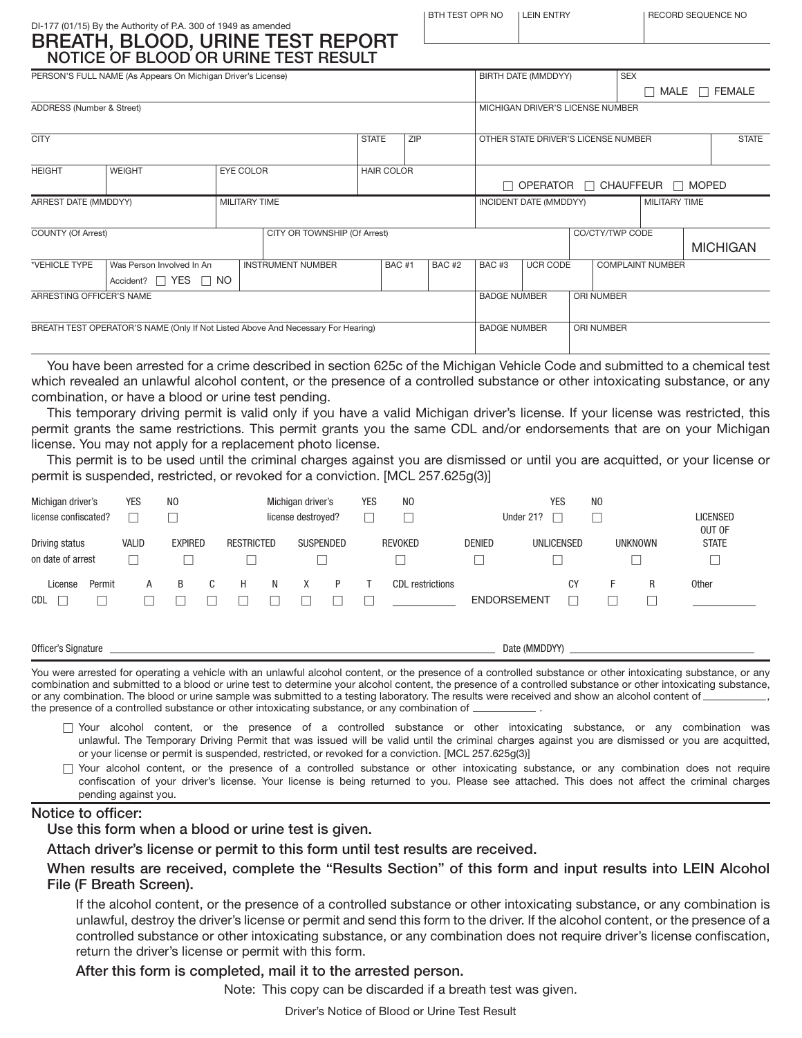### DI-177 (01/15) By the Authority of P.A. 300 of 1949 as amended BREATH, BLOOD, URINE TEST REPORT NOTICE OF BLOOD OR URINE TEST RESULT

| <b>BREATH, BLOOD, URINE TEST REPORT</b> |
|-----------------------------------------|
| NOTICE OF BLOOD OR URINE TEST RESULT    |
|                                         |

|                                                                                  | PERSON'S FULL NAME (As Appears On Michigan Driver's License) |                                   |                              | <b>SEX</b><br>BIRTH DATE (MMDDYY) |              |                                               |                                                |                                   |              |                         |  |                    |
|----------------------------------------------------------------------------------|--------------------------------------------------------------|-----------------------------------|------------------------------|-----------------------------------|--------------|-----------------------------------------------|------------------------------------------------|-----------------------------------|--------------|-------------------------|--|--------------------|
|                                                                                  |                                                              |                                   |                              |                                   |              |                                               |                                                |                                   |              | ×                       |  | MALE $\Box$ FEMALE |
| ADDRESS (Number & Street)                                                        |                                                              |                                   |                              |                                   |              |                                               |                                                | MICHIGAN DRIVER'S LICENSE NUMBER  |              |                         |  |                    |
| <b>CITY</b>                                                                      |                                                              |                                   |                              | <b>STATE</b>                      | ZIP          |                                               | OTHER STATE DRIVER'S LICENSE NUMBER            |                                   |              |                         |  |                    |
|                                                                                  |                                                              |                                   |                              |                                   |              |                                               |                                                |                                   | <b>STATE</b> |                         |  |                    |
| <b>HEIGHT</b>                                                                    | <b>EYE COLOR</b>                                             | <b>HAIR COLOR</b>                 |                              |                                   |              |                                               |                                                |                                   |              |                         |  |                    |
|                                                                                  |                                                              |                                   |                              |                                   |              | $\Box$ OPERATOR $\Box$ CHAUFFEUR $\Box$ MOPED |                                                |                                   |              |                         |  |                    |
| ARREST DATE (MMDDYY)                                                             |                                                              | <b>MILITARY TIME</b>              |                              |                                   |              |                                               | <b>MILITARY TIME</b><br>INCIDENT DATE (MMDDYY) |                                   |              |                         |  |                    |
|                                                                                  |                                                              |                                   |                              |                                   |              |                                               |                                                |                                   |              |                         |  |                    |
| <b>COUNTY (Of Arrest)</b>                                                        |                                                              |                                   | CITY OR TOWNSHIP (Of Arrest) |                                   |              |                                               |                                                |                                   |              | CO/CTY/TWP CODE         |  | <b>MICHIGAN</b>    |
|                                                                                  |                                                              |                                   |                              |                                   |              |                                               |                                                |                                   |              |                         |  |                    |
| *VEHICLE TYPE                                                                    | Was Person Involved In An                                    |                                   | <b>INSTRUMENT NUMBER</b>     |                                   | <b>BAC#1</b> | <b>BAC#2</b>                                  | <b>BAC#3</b>                                   | UCR CODE                          |              | <b>COMPLAINT NUMBER</b> |  |                    |
|                                                                                  | Accident? $\Box$ YES $\Box$ NO                               |                                   |                              |                                   |              |                                               |                                                |                                   |              |                         |  |                    |
| ARRESTING OFFICER'S NAME                                                         |                                                              | ORI NUMBER<br><b>BADGE NUMBER</b> |                              |                                   |              |                                               |                                                |                                   |              |                         |  |                    |
|                                                                                  |                                                              |                                   |                              |                                   |              |                                               |                                                |                                   |              |                         |  |                    |
| BREATH TEST OPERATOR'S NAME (Only If Not Listed Above And Necessary For Hearing) |                                                              |                                   |                              |                                   |              |                                               |                                                | <b>BADGE NUMBER</b><br>ORI NUMBER |              |                         |  |                    |
|                                                                                  |                                                              |                                   |                              |                                   |              |                                               |                                                |                                   |              |                         |  |                    |

You have been arrested for a crime described in section 625c of the Michigan Vehicle Code and submitted to a chemical test which revealed an unlawful alcohol content, or the presence of a controlled substance or other intoxicating substance, or any combination, or have a blood or urine test pending.

This temporary driving permit is valid only if you have a valid Michigan driver's license. If your license was restricted, this permit grants the same restrictions. This permit grants you the same CDL and/or endorsements that are on your Michigan license. You may not apply for a replacement photo license.

This permit is to be used until the criminal charges against you are dismissed or until you are acquitted, or your license or permit is suspended, restricted, or revoked for a conviction. [MCL 257.625g(3)]

| Michigan driver's<br>license confiscated? |        | <b>YES</b>   | N <sub>0</sub> |                   |   | Michigan driver's<br>license destroyed? |   | <b>YES</b> | N <sub>0</sub>   |               | YES<br>Under 21?                | N <sub>0</sub> |                |   | <b>LICENSED</b><br>OUT OF |
|-------------------------------------------|--------|--------------|----------------|-------------------|---|-----------------------------------------|---|------------|------------------|---------------|---------------------------------|----------------|----------------|---|---------------------------|
| Driving status<br>on date of arrest       |        | <b>VALID</b> | <b>EXPIRED</b> | <b>RESTRICTED</b> |   | SUSPENDED                               |   |            | REVOKED          | <b>DENIED</b> | <b>UNLICENSED</b>               |                | <b>UNKNOWN</b> |   | <b>STATE</b>              |
| License<br><b>CDL</b>                     | Permit | A            | B              | н                 | N |                                         | D |            | CDL restrictions |               | <b>CY</b><br><b>ENDORSEMENT</b> |                |                | R | <b>Other</b>              |

| Officer.<br>Signature | עערור<br>Dat<br>(IV)<br>טשוו |
|-----------------------|------------------------------|
|                       |                              |

You were arrested for operating a vehicle with an unlawful alcohol content, or the presence of a controlled substance or other intoxicating substance, or any combination and submitted to a blood or urine test to determine your alcohol content, the presence of a controlled substance or other intoxicating substance, or any combination. The blood or urine sample was submitted to a testing laboratory. The results were received and show an alcohol content of the presence of a controlled substance or other intoxicating substance, or any combination of \_

- T Your alcohol content, or the presence of a controlled substance or other intoxicating substance, or any combination was unlawful. The Temporary Driving Permit that was issued will be valid until the criminal charges against you are dismissed or you are acquitted, or your license or permit is suspended, restricted, or revoked for a conviction. [MCL 257.625g(3)]
- $\Box$  Your alcohol content, or the presence of a controlled substance or other intoxicating substance, or any combination does not require confiscation of your driver's license. Your license is being returned to you. Please see attached. This does not affect the criminal charges pending against you.

#### Notice to officer:

Use this form when a blood or urine test is given.

Attach driver's license or permit to this form until test results are received.

### When results are received, complete the "Results Section" of this form and input results into LEIN Alcohol File (F Breath Screen).

If the alcohol content, or the presence of a controlled substance or other intoxicating substance, or any combination is unlawful, destroy the driver's license or permit and send this form to the driver. If the alcohol content, or the presence of a controlled substance or other intoxicating substance, or any combination does not require driver's license confiscation, return the driver's license or permit with this form.

### After this form is completed, mail it to the arrested person.

Note: This copy can be discarded if a breath test was given.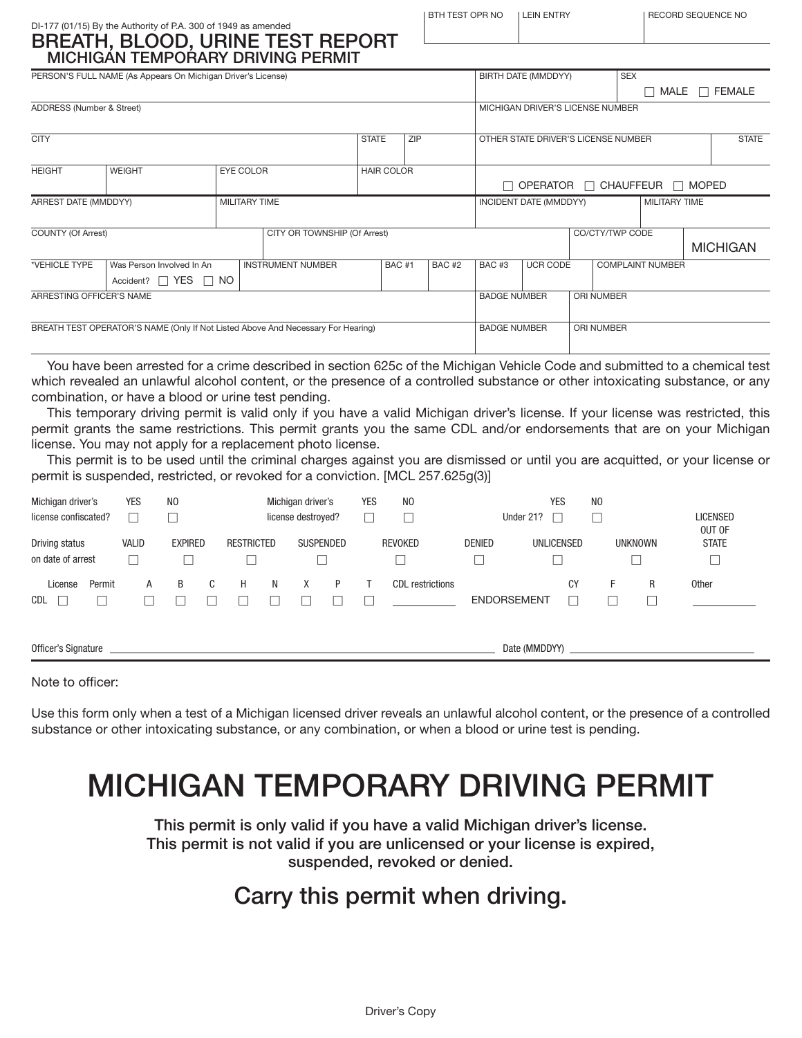| BTH TEST OPR NO | LEIN ENTRY |
|-----------------|------------|
|                 |            |

Y LEECORD SEQUENCE NO

### DI-177 (01/15) By the Authority of P.A. 300 of 1949 as amended BREATH, BLOOD, URINE TEST REPORT MICHIGAN TEMPORARY DRIVING PERMIT

|                                                                                  | PERSON'S FULL NAME (As Appears On Michigan Driver's License) |                                   |                              |                                                   |              |              |                                                |                                   |  | BIRTH DATE (MMDDYY)<br><b>SEX</b> |        |  |                    |  |
|----------------------------------------------------------------------------------|--------------------------------------------------------------|-----------------------------------|------------------------------|---------------------------------------------------|--------------|--------------|------------------------------------------------|-----------------------------------|--|-----------------------------------|--------|--|--------------------|--|
|                                                                                  |                                                              |                                   |                              |                                                   |              |              |                                                |                                   |  |                                   | $\Box$ |  | MALE $\Box$ FEMALE |  |
| ADDRESS (Number & Street)                                                        |                                                              |                                   |                              |                                                   |              |              | MICHIGAN DRIVER'S LICENSE NUMBER               |                                   |  |                                   |        |  |                    |  |
|                                                                                  |                                                              |                                   |                              |                                                   |              |              |                                                |                                   |  |                                   |        |  |                    |  |
| <b>CITY</b>                                                                      |                                                              |                                   |                              | <b>STATE</b>                                      | <b>ZIP</b>   |              | OTHER STATE DRIVER'S LICENSE NUMBER            |                                   |  |                                   |        |  | <b>STATE</b>       |  |
|                                                                                  | <b>WEIGHT</b>                                                |                                   |                              |                                                   |              |              |                                                |                                   |  |                                   |        |  |                    |  |
| <b>HEIGHT</b>                                                                    | <b>HAIR COLOR</b>                                            |                                   |                              |                                                   |              |              |                                                |                                   |  |                                   |        |  |                    |  |
|                                                                                  |                                                              |                                   |                              | OPERATOR $\Box$ CHAUFFEUR $\Box$ MOPED<br>$\perp$ |              |              |                                                |                                   |  |                                   |        |  |                    |  |
| ARREST DATE (MMDDYY)                                                             |                                                              | <b>MILITARY TIME</b>              |                              |                                                   |              |              | <b>MILITARY TIME</b><br>INCIDENT DATE (MMDDYY) |                                   |  |                                   |        |  |                    |  |
|                                                                                  |                                                              |                                   |                              |                                                   |              |              |                                                |                                   |  |                                   |        |  |                    |  |
| <b>COUNTY (Of Arrest)</b>                                                        |                                                              |                                   | CITY OR TOWNSHIP (Of Arrest) |                                                   |              |              |                                                |                                   |  | CO/CTY/TWP CODE                   |        |  |                    |  |
|                                                                                  |                                                              |                                   |                              |                                                   |              |              |                                                |                                   |  |                                   |        |  | <b>MICHIGAN</b>    |  |
| *VEHICLE TYPE                                                                    | Was Person Involved In An                                    |                                   | <b>INSTRUMENT NUMBER</b>     |                                                   | <b>BAC#1</b> | <b>BAC#2</b> | BAC#3                                          | UCR CODE                          |  | <b>COMPLAINT NUMBER</b>           |        |  |                    |  |
|                                                                                  | Accident? $\Box$ YES $\Box$ NO                               |                                   |                              |                                                   |              |              |                                                |                                   |  |                                   |        |  |                    |  |
| ARRESTING OFFICER'S NAME                                                         |                                                              |                                   |                              |                                                   |              |              |                                                | <b>BADGE NUMBER</b><br>ORI NUMBER |  |                                   |        |  |                    |  |
|                                                                                  |                                                              |                                   |                              |                                                   |              |              |                                                |                                   |  |                                   |        |  |                    |  |
| BREATH TEST OPERATOR'S NAME (Only If Not Listed Above And Necessary For Hearing) |                                                              | <b>BADGE NUMBER</b><br>ORI NUMBER |                              |                                                   |              |              |                                                |                                   |  |                                   |        |  |                    |  |
|                                                                                  |                                                              |                                   |                              |                                                   |              |              |                                                |                                   |  |                                   |        |  |                    |  |

You have been arrested for a crime described in section 625c of the Michigan Vehicle Code and submitted to a chemical test which revealed an unlawful alcohol content, or the presence of a controlled substance or other intoxicating substance, or any combination, or have a blood or urine test pending.

This temporary driving permit is valid only if you have a valid Michigan driver's license. If your license was restricted, this permit grants the same restrictions. This permit grants you the same CDL and/or endorsements that are on your Michigan license. You may not apply for a replacement photo license.

This permit is to be used until the criminal charges against you are dismissed or until you are acquitted, or your license or permit is suspended, restricted, or revoked for a conviction. [MCL 257.625g(3)]

| Michigan driver's<br>license confiscated? | <b>YES</b>        | N <sub>0</sub> |        |                   |   | Michigan driver's<br>license destroyed? |   | <b>YES</b> | N <sub>0</sub><br>Г     |               | Under 21?          | <b>YES</b>        | N <sub>0</sub> |                     | <b>LICENSED</b><br>OUT OF |
|-------------------------------------------|-------------------|----------------|--------|-------------------|---|-----------------------------------------|---|------------|-------------------------|---------------|--------------------|-------------------|----------------|---------------------|---------------------------|
| Driving status<br>on date of arrest       | <b>VALID</b><br>٦ | <b>EXPIRED</b> |        | <b>RESTRICTED</b> |   | SUSPENDED                               |   |            | <b>REVOKED</b>          | <b>DENIED</b> |                    | <b>UNLICENSED</b> |                | <b>UNKNOWN</b><br>Γ | <b>STATE</b><br>$\Box$    |
| License<br>Permit<br><b>CDL</b><br>$\Box$ | A                 | B              | C<br>L | H                 | N | X                                       | P |            | <b>CDL</b> restrictions |               | <b>ENDORSEMENT</b> | CY                | н.             | R                   | Other                     |
| Officer's Signature                       |                   |                |        |                   |   |                                         |   |            |                         |               | Date (MMDDYY)      |                   |                |                     |                           |

Note to officer:

Use this form only when a test of a Michigan licensed driver reveals an unlawful alcohol content, or the presence of a controlled substance or other intoxicating substance, or any combination, or when a blood or urine test is pending.

# MICHIGAN TEMPORARY DRIVING PERMIT

This permit is only valid if you have a valid Michigan driver's license. This permit is not valid if you are unlicensed or your license is expired, suspended, revoked or denied.

## Carry this permit when driving.